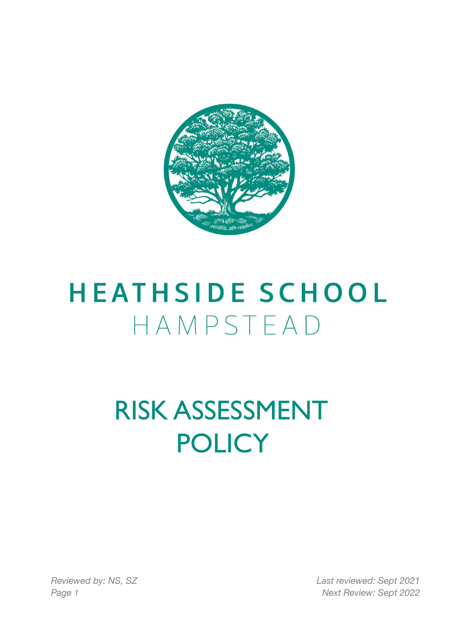

# **HEATHSIDE SCHOOL** HAMPSTEAD

# RISK ASSESSMENT **POLICY**

*Reviewed by: NS, SZ Last reviewed: Sept 2021 Page 1 Next Review: Sept 2022*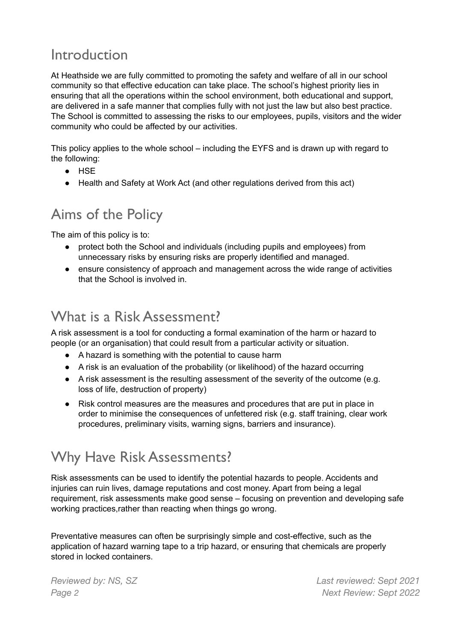#### Introduction

At Heathside we are fully committed to promoting the safety and welfare of all in our school community so that effective education can take place. The school's highest priority lies in ensuring that all the operations within the school environment, both educational and support, are delivered in a safe manner that complies fully with not just the law but also best practice. The School is committed to assessing the risks to our employees, pupils, visitors and the wider community who could be affected by our activities.

This policy applies to the whole school – including the EYFS and is drawn up with regard to the following:

- HSE
- Health and Safety at Work Act (and other regulations derived from this act)

#### Aims of the Policy

The aim of this policy is to:

- protect both the School and individuals (including pupils and employees) from unnecessary risks by ensuring risks are properly identified and managed.
- ensure consistency of approach and management across the wide range of activities that the School is involved in.

#### What is a Risk Assessment?

A risk assessment is a tool for conducting a formal examination of the harm or hazard to people (or an organisation) that could result from a particular activity or situation.

- A hazard is something with the potential to cause harm
- A risk is an evaluation of the probability (or likelihood) of the hazard occurring
- A risk assessment is the resulting assessment of the severity of the outcome (e.g. loss of life, destruction of property)
- Risk control measures are the measures and procedures that are put in place in order to minimise the consequences of unfettered risk (e.g. staff training, clear work procedures, preliminary visits, warning signs, barriers and insurance).

# Why Have Risk Assessments?

Risk assessments can be used to identify the potential hazards to people. Accidents and injuries can ruin lives, damage reputations and cost money. Apart from being a legal requirement, risk assessments make good sense – focusing on prevention and developing safe working practices,rather than reacting when things go wrong.

Preventative measures can often be surprisingly simple and cost-effective, such as the application of hazard warning tape to a trip hazard, or ensuring that chemicals are properly stored in locked containers.

*Reviewed by: NS, SZ Last reviewed: Sept 2021 Page 2 Next Review: Sept 2022*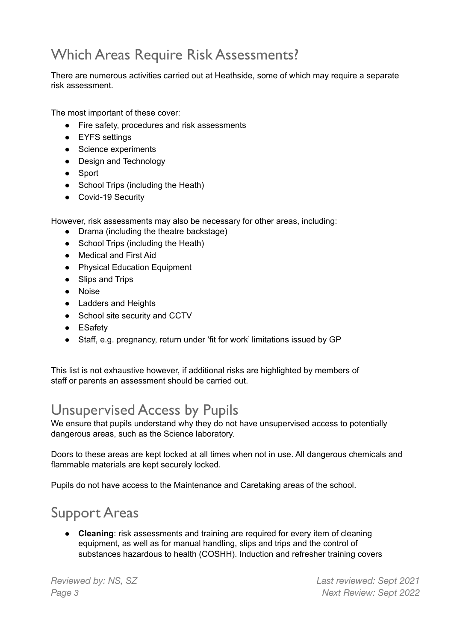# Which Areas Require Risk Assessments?

There are numerous activities carried out at Heathside, some of which may require a separate risk assessment.

The most important of these cover:

- Fire safety, procedures and risk assessments
- EYFS settings
- Science experiments
- Design and Technology
- Sport
- School Trips (including the Heath)
- Covid-19 Security

However, risk assessments may also be necessary for other areas, including:

- Drama (including the theatre backstage)
- School Trips (including the Heath)
- Medical and First Aid
- Physical Education Equipment
- Slips and Trips
- Noise
- Ladders and Heights
- School site security and CCTV
- ESafety
- Staff, e.g. pregnancy, return under 'fit for work' limitations issued by GP

This list is not exhaustive however, if additional risks are highlighted by members of staff or parents an assessment should be carried out.

#### Unsupervised Access by Pupils

We ensure that pupils understand why they do not have unsupervised access to potentially dangerous areas, such as the Science laboratory.

Doors to these areas are kept locked at all times when not in use. All dangerous chemicals and flammable materials are kept securely locked.

Pupils do not have access to the Maintenance and Caretaking areas of the school.

# Support Areas

● **Cleaning**: risk assessments and training are required for every item of cleaning equipment, as well as for manual handling, slips and trips and the control of substances hazardous to health (COSHH). Induction and refresher training covers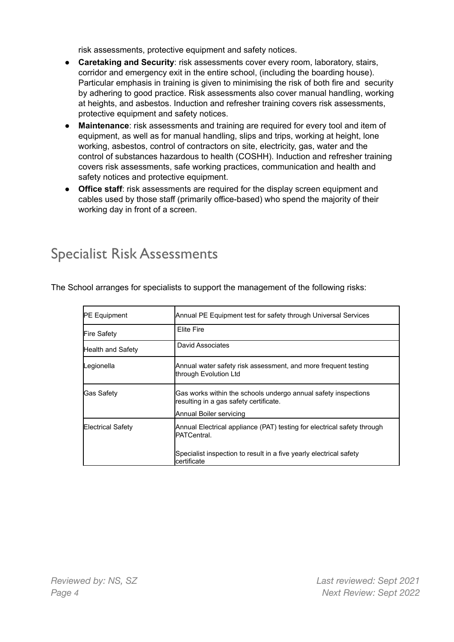risk assessments, protective equipment and safety notices.

- **Caretaking and Security**: risk assessments cover every room, laboratory, stairs, corridor and emergency exit in the entire school, (including the boarding house). Particular emphasis in training is given to minimising the risk of both fire and security by adhering to good practice. Risk assessments also cover manual handling, working at heights, and asbestos. Induction and refresher training covers risk assessments, protective equipment and safety notices.
- **Maintenance**: risk assessments and training are required for every tool and item of equipment, as well as for manual handling, slips and trips, working at height, lone working, asbestos, control of contractors on site, electricity, gas, water and the control of substances hazardous to health (COSHH). Induction and refresher training covers risk assessments, safe working practices, communication and health and safety notices and protective equipment.
- **Office staff**: risk assessments are required for the display screen equipment and cables used by those staff (primarily office-based) who spend the majority of their working day in front of a screen.

#### Specialist Risk Assessments

The School arranges for specialists to support the management of the following risks:

| <b>PE Equipment</b>      | Annual PE Equipment test for safety through Universal Services                                                                                                      |
|--------------------------|---------------------------------------------------------------------------------------------------------------------------------------------------------------------|
| <b>Fire Safety</b>       | Elite Fire                                                                                                                                                          |
| Health and Safety        | David Associates                                                                                                                                                    |
| Legionella               | Annual water safety risk assessment, and more frequent testing<br>lthrough Evolution Ltd                                                                            |
| <b>Gas Safety</b>        | Gas works within the schools undergo annual safety inspections<br>resulting in a gas safety certificate.<br>Annual Boiler servicing                                 |
| <b>Electrical Safety</b> | Annual Electrical appliance (PAT) testing for electrical safety through<br><b>IPATCentral</b><br>Specialist inspection to result in a five yearly electrical safety |
|                          | lcertificate                                                                                                                                                        |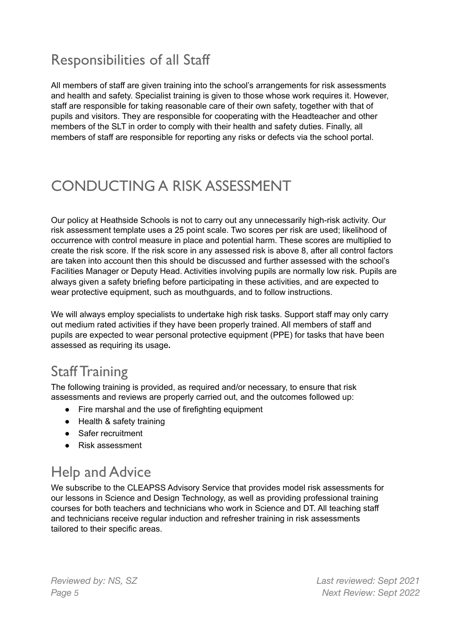# Responsibilities of all Staff

All members of staff are given training into the school's arrangements for risk assessments and health and safety. Specialist training is given to those whose work requires it. However, staff are responsible for taking reasonable care of their own safety, together with that of pupils and visitors. They are responsible for cooperating with the Headteacher and other members of the SLT in order to comply with their health and safety duties. Finally, all members of staff are responsible for reporting any risks or defects via the school portal.

# CONDUCTING A RISK ASSESSMENT

Our policy at Heathside Schools is not to carry out any unnecessarily high-risk activity. Our risk assessment template uses a 25 point scale. Two scores per risk are used; likelihood of occurrence with control measure in place and potential harm. These scores are multiplied to create the risk score. If the risk score in any assessed risk is above 8, after all control factors are taken into account then this should be discussed and further assessed with the school's Facilities Manager or Deputy Head. Activities involving pupils are normally low risk. Pupils are always given a safety briefing before participating in these activities, and are expected to wear protective equipment, such as mouthguards, and to follow instructions.

We will always employ specialists to undertake high risk tasks. Support staff may only carry out medium rated activities if they have been properly trained. All members of staff and pupils are expected to wear personal protective equipment (PPE) for tasks that have been assessed as requiring its usage**.**

#### Staff Training

The following training is provided, as required and/or necessary, to ensure that risk assessments and reviews are properly carried out, and the outcomes followed up:

- Fire marshal and the use of firefighting equipment
- Health & safety training
- Safer recruitment
- Risk assessment

# Help and Advice

We subscribe to the CLEAPSS Advisory Service that provides model risk assessments for our lessons in Science and Design Technology, as well as providing professional training courses for both teachers and technicians who work in Science and DT. All teaching staff and technicians receive regular induction and refresher training in risk assessments tailored to their specific areas.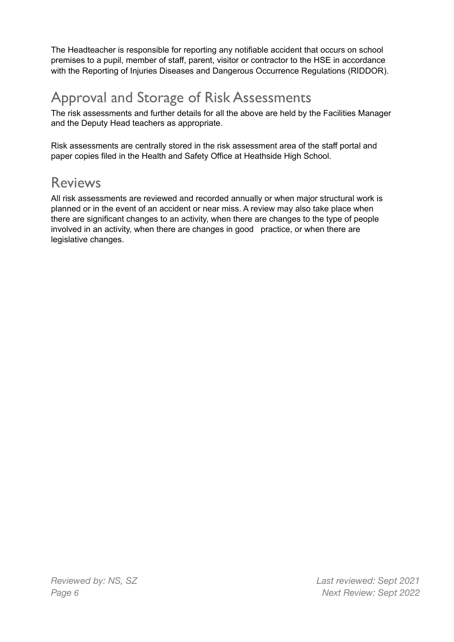The Headteacher is responsible for reporting any notifiable accident that occurs on school premises to a pupil, member of staff, parent, visitor or contractor to the HSE in accordance with the Reporting of Injuries Diseases and Dangerous Occurrence Regulations (RIDDOR).

# Approval and Storage of Risk Assessments

The risk assessments and further details for all the above are held by the Facilities Manager and the Deputy Head teachers as appropriate.

Risk assessments are centrally stored in the risk assessment area of the staff portal and paper copies filed in the Health and Safety Office at Heathside High School.

#### Reviews

All risk assessments are reviewed and recorded annually or when major structural work is planned or in the event of an accident or near miss. A review may also take place when there are significant changes to an activity, when there are changes to the type of people involved in an activity, when there are changes in good practice, or when there are legislative changes.